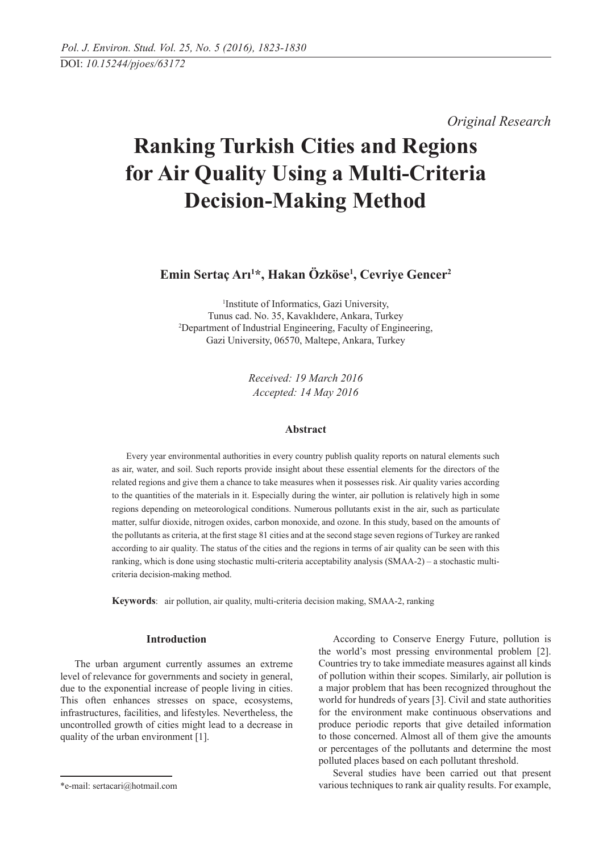*Original Research* 

# **Ranking Turkish Cities and Regions for Air Quality Using a Multi-Criteria Decision-Making Method**

**Emin Sertaç Arı1 \*, Hakan Özköse1 , Cevriye Gencer2**

1 Institute of Informatics, Gazi University, Tunus cad. No. 35, Kavaklıdere, Ankara, Turkey 2 Department of Industrial Engineering, Faculty of Engineering, Gazi University, 06570, Maltepe, Ankara, Turkey

> *Received: 19 March 2016 Accepted: 14 May 2016*

# **Abstract**

Every year environmental authorities in every country publish quality reports on natural elements such as air, water, and soil. Such reports provide insight about these essential elements for the directors of the related regions and give them a chance to take measures when it possesses risk. Air quality varies according to the quantities of the materials in it. Especially during the winter, air pollution is relatively high in some regions depending on meteorological conditions. Numerous pollutants exist in the air, such as particulate matter, sulfur dioxide, nitrogen oxides, carbon monoxide, and ozone. In this study, based on the amounts of the pollutants as criteria, at the first stage 81 cities and at the second stage seven regions of Turkey are ranked according to air quality. The status of the cities and the regions in terms of air quality can be seen with this ranking, which is done using stochastic multi-criteria acceptability analysis (SMAA-2) – a stochastic multicriteria decision-making method.

**Keywords**: air pollution, air quality, multi-criteria decision making, SMAA-2, ranking

## **Introduction**

The urban argument currently assumes an extreme level of relevance for governments and society in general, due to the exponential increase of people living in cities. This often enhances stresses on space, ecosystems, infrastructures, facilities, and lifestyles. Nevertheless, the uncontrolled growth of cities might lead to a decrease in quality of the urban environment [1].

According to Conserve Energy Future, pollution is the world's most pressing environmental problem [2]. Countries try to take immediate measures against all kinds of pollution within their scopes. Similarly, air pollution is a major problem that has been recognized throughout the world for hundreds of years [3]. Civil and state authorities for the environment make continuous observations and produce periodic reports that give detailed information to those concerned. Almost all of them give the amounts or percentages of the pollutants and determine the most polluted places based on each pollutant threshold.

Several studies have been carried out that present various techniques to rank air quality results. For example,

<sup>\*</sup>e-mail: sertacari@hotmail.com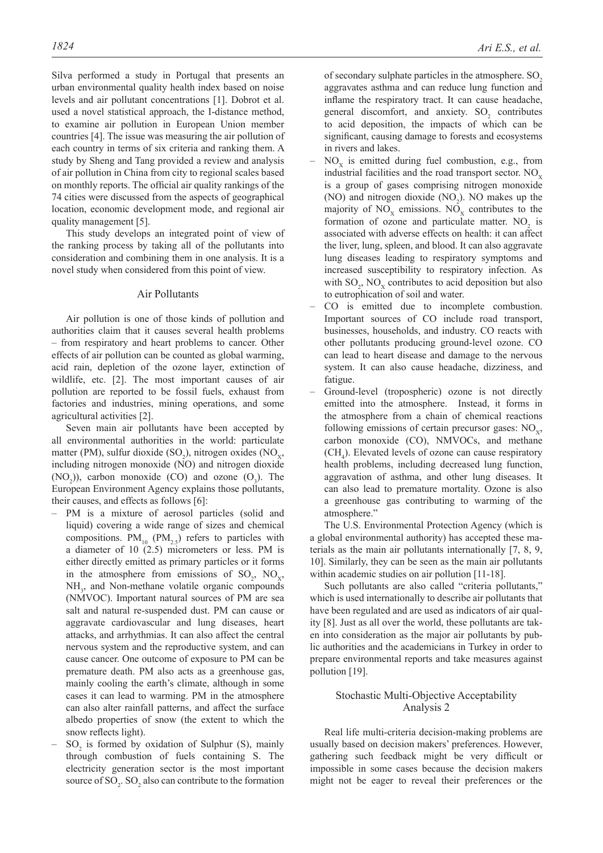Silva performed a study in Portugal that presents an urban environmental quality health index based on noise levels and air pollutant concentrations [1]. Dobrot et al. used a novel statistical approach, the I-distance method, to examine air pollution in European Union member countries [4]. The issue was measuring the air pollution of each country in terms of six criteria and ranking them. A study by Sheng and Tang provided a review and analysis of air pollution in China from city to regional scales based on monthly reports. The official air quality rankings of the 74 cities were discussed from the aspects of geographical location, economic development mode, and regional air quality management [5].

This study develops an integrated point of view of the ranking process by taking all of the pollutants into consideration and combining them in one analysis. It is a novel study when considered from this point of view.

# Air Pollutants

Air pollution is one of those kinds of pollution and authorities claim that it causes several health problems – from respiratory and heart problems to cancer. Other effects of air pollution can be counted as global warming, acid rain, depletion of the ozone layer, extinction of wildlife, etc. [2]. The most important causes of air pollution are reported to be fossil fuels, exhaust from factories and industries, mining operations, and some agricultural activities [2].

Seven main air pollutants have been accepted by all environmental authorities in the world: particulate matter (PM), sulfur dioxide  $(SO_2)$ , nitrogen oxides  $(NO_x,$ including nitrogen monoxide (NO) and nitrogen dioxide  $(NO<sub>2</sub>)$ ), carbon monoxide  $(CO)$  and ozone  $(O<sub>3</sub>)$ . The European Environment Agency explains those pollutants, their causes, and effects as follows [6]:

- PM is a mixture of aerosol particles (solid and liquid) covering a wide range of sizes and chemical compositions.  $PM_{10}$  (PM<sub>25</sub>) refers to particles with a diameter of 10  $(2.5)$  micrometers or less. PM is either directly emitted as primary particles or it forms in the atmosphere from emissions of  $SO_2$ ,  $NO_x$ , NH<sub>3</sub>, and Non-methane volatile organic compounds (NMVOC). Important natural sources of PM are sea salt and natural re-suspended dust. PM can cause or aggravate cardiovascular and lung diseases, heart attacks, and arrhythmias. It can also affect the central nervous system and the reproductive system, and can cause cancer. One outcome of exposure to PM can be premature death. PM also acts as a greenhouse gas, mainly cooling the earth's climate, although in some cases it can lead to warming. PM in the atmosphere can also alter rainfall patterns, and affect the surface albedo properties of snow (the extent to which the snow reflects light).
- $-$  SO<sub>2</sub> is formed by oxidation of Sulphur (S), mainly through combustion of fuels containing S. The electricity generation sector is the most important source of  $\text{SO}_2$ .  $\text{SO}_2$  also can contribute to the formation

of secondary sulphate particles in the atmosphere. SO<sub>2</sub> aggravates asthma and can reduce lung function and inflame the respiratory tract. It can cause headache, general discomfort, and anxiety.  $SO_2$  contributes to acid deposition, the impacts of which can be significant, causing damage to forests and ecosystems in rivers and lakes.

- $-$  NO<sub>y</sub> is emitted during fuel combustion, e.g., from industrial facilities and the road transport sector.  $NO<sub>x</sub>$ is a group of gases comprising nitrogen monoxide (NO) and nitrogen dioxide  $(NO<sub>2</sub>)$ . NO makes up the majority of  $NO_x$  emissions.  $NO_x$  contributes to the formation of ozone and particulate matter.  $NO<sub>2</sub>$  is associated with adverse effects on health: it can affect the liver, lung, spleen, and blood. It can also aggravate lung diseases leading to respiratory symptoms and increased susceptibility to respiratory infection. As with  $SO_2$ ,  $NO_X$  contributes to acid deposition but also to eutrophication of soil and water.
- CO is emitted due to incomplete combustion. Important sources of CO include road transport, businesses, households, and industry. CO reacts with other pollutants producing ground-level ozone. CO can lead to heart disease and damage to the nervous system. It can also cause headache, dizziness, and fatigue.
- Ground-level (tropospheric) ozone is not directly emitted into the atmosphere. Instead, it forms in the atmosphere from a chain of chemical reactions following emissions of certain precursor gases:  $NO<sub>v</sub>$ , carbon monoxide (CO), NMVOCs, and methane  $(CH<sub>4</sub>)$ . Elevated levels of ozone can cause respiratory health problems, including decreased lung function, aggravation of asthma, and other lung diseases. It can also lead to premature mortality. Ozone is also a greenhouse gas contributing to warming of the atmosphere."

The U.S. Environmental Protection Agency (which is a global environmental authority) has accepted these materials as the main air pollutants internationally [7, 8, 9, 10]. Similarly, they can be seen as the main air pollutants within academic studies on air pollution [11-18].

Such pollutants are also called "criteria pollutants," which is used internationally to describe air pollutants that have been regulated and are used as indicators of air quality [8]. Just as all over the world, these pollutants are taken into consideration as the major air pollutants by public authorities and the academicians in Turkey in order to prepare environmental reports and take measures against pollution [19].

## Stochastic Multi-Objective Acceptability Analysis 2

Real life multi-criteria decision-making problems are usually based on decision makers' preferences. However, gathering such feedback might be very difficult or impossible in some cases because the decision makers might not be eager to reveal their preferences or the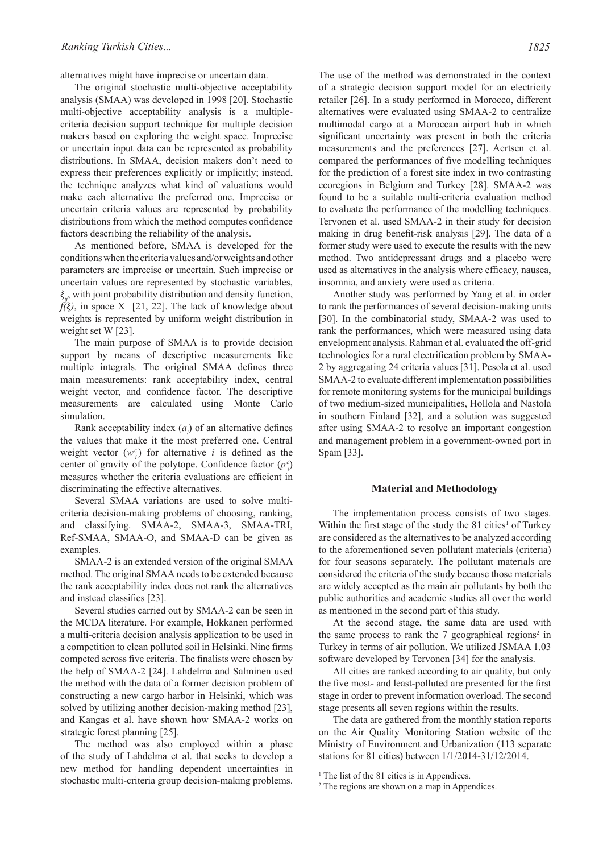alternatives might have imprecise or uncertain data.

The original stochastic multi-objective acceptability analysis (SMAA) was developed in 1998 [20]. Stochastic multi-objective acceptability analysis is a multiplecriteria decision support technique for multiple decision makers based on exploring the weight space. Imprecise or uncertain input data can be represented as probability distributions. In SMAA, decision makers don't need to express their preferences explicitly or implicitly; instead, the technique analyzes what kind of valuations would make each alternative the preferred one. Imprecise or uncertain criteria values are represented by probability distributions from which the method computes confidence factors describing the reliability of the analysis.

As mentioned before, SMAA is developed for the conditions when the criteria values and/or weights and other parameters are imprecise or uncertain. Such imprecise or uncertain values are represented by stochastic variables, *ξij*, with joint probability distribution and density function,  $f(\xi)$ , in space X [21, 22]. The lack of knowledge about weights is represented by uniform weight distribution in weight set W [23].

The main purpose of SMAA is to provide decision support by means of descriptive measurements like multiple integrals. The original SMAA defines three main measurements: rank acceptability index, central weight vector, and confidence factor. The descriptive measurements are calculated using Monte Carlo simulation.

Rank acceptability index  $(a_i)$  of an alternative defines the values that make it the most preferred one. Central weight vector  $(w_i^c)$  for alternative *i* is defined as the center of gravity of the polytope. Confidence factor  $(p<sub>i</sub><sup>c</sup>)$ measures whether the criteria evaluations are efficient in discriminating the effective alternatives.

Several SMAA variations are used to solve multicriteria decision-making problems of choosing, ranking, and classifying. SMAA-2, SMAA-3, SMAA-TRI, Ref-SMAA, SMAA-O, and SMAA-D can be given as examples.

SMAA-2 is an extended version of the original SMAA method. The original SMAA needs to be extended because the rank acceptability index does not rank the alternatives and instead classifies [23].

Several studies carried out by SMAA-2 can be seen in the MCDA literature. For example, Hokkanen performed a multi-criteria decision analysis application to be used in a competition to clean polluted soil in Helsinki. Nine firms competed across five criteria. The finalists were chosen by the help of SMAA-2 [24]. Lahdelma and Salminen used the method with the data of a former decision problem of constructing a new cargo harbor in Helsinki, which was solved by utilizing another decision-making method [23], and Kangas et al. have shown how SMAA-2 works on strategic forest planning [25].

The method was also employed within a phase of the study of Lahdelma et al. that seeks to develop a new method for handling dependent uncertainties in stochastic multi-criteria group decision-making problems.

The use of the method was demonstrated in the context of a strategic decision support model for an electricity retailer [26]. In a study performed in Morocco, different alternatives were evaluated using SMAA-2 to centralize multimodal cargo at a Moroccan airport hub in which significant uncertainty was present in both the criteria measurements and the preferences [27]. Aertsen et al. compared the performances of five modelling techniques for the prediction of a forest site index in two contrasting ecoregions in Belgium and Turkey [28]. SMAA-2 was found to be a suitable multi-criteria evaluation method to evaluate the performance of the modelling techniques. Tervonen et al. used SMAA-2 in their study for decision making in drug benefit-risk analysis [29]. The data of a former study were used to execute the results with the new method. Two antidepressant drugs and a placebo were used as alternatives in the analysis where efficacy, nausea, insomnia, and anxiety were used as criteria.

Another study was performed by Yang et al. in order to rank the performances of several decision-making units [30]. In the combinatorial study, SMAA-2 was used to rank the performances, which were measured using data envelopment analysis. Rahman et al. evaluated the off-grid technologies for a rural electrification problem by SMAA-2 by aggregating 24 criteria values [31]. Pesola et al. used SMAA-2 to evaluate different implementation possibilities for remote monitoring systems for the municipal buildings of two medium-sized municipalities, Hollola and Nastola in southern Finland [32], and a solution was suggested after using SMAA-2 to resolve an important congestion and management problem in a government-owned port in Spain [33].

#### **Material and Methodology**

The implementation process consists of two stages. Within the first stage of the study the  $81$  cities<sup>1</sup> of Turkey are considered as the alternatives to be analyzed according to the aforementioned seven pollutant materials (criteria) for four seasons separately. The pollutant materials are considered the criteria of the study because those materials are widely accepted as the main air pollutants by both the public authorities and academic studies all over the world as mentioned in the second part of this study.

At the second stage, the same data are used with the same process to rank the  $7$  geographical regions<sup>2</sup> in Turkey in terms of air pollution. We utilized JSMAA 1.03 software developed by Tervonen [34] for the analysis.

All cities are ranked according to air quality, but only the five most- and least-polluted are presented for the first stage in order to prevent information overload. The second stage presents all seven regions within the results.

The data are gathered from the monthly station reports on the Air Quality Monitoring Station website of the Ministry of Environment and Urbanization (113 separate stations for 81 cities) between 1/1/2014-31/12/2014.

<sup>&</sup>lt;sup>1</sup> The list of the 81 cities is in Appendices.

<sup>&</sup>lt;sup>2</sup> The regions are shown on a map in Appendices.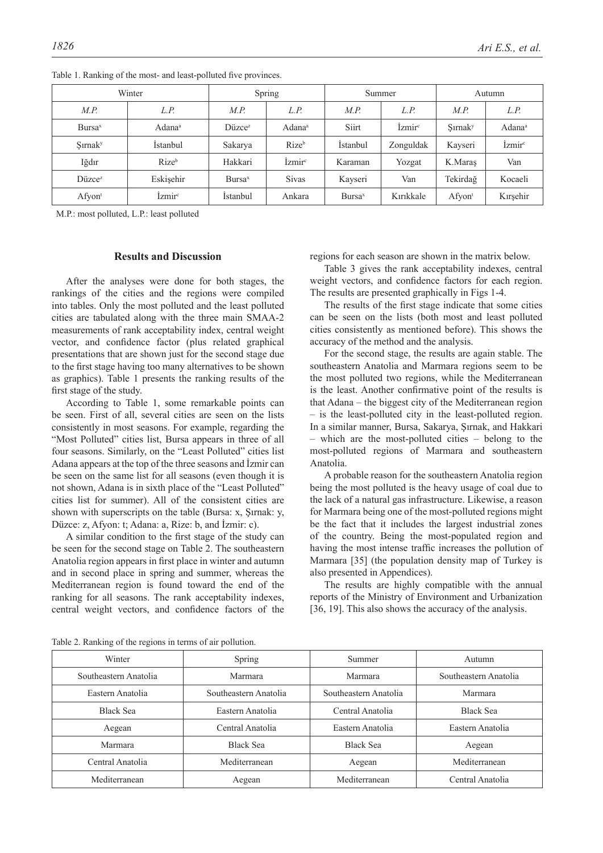|                             | Winter             |                     | Spring                        | Summer             |                           | Autumn              |                           |  |
|-----------------------------|--------------------|---------------------|-------------------------------|--------------------|---------------------------|---------------------|---------------------------|--|
| M.P.                        | L.P.               | L.P.<br>M.P.        |                               | M.P.               | L.P.                      |                     | L.P.                      |  |
| Bursa <sup>x</sup>          | Adana <sup>a</sup> | Diizce <sup>z</sup> | Adana <sup>a</sup>            | Siirt              | <i>Izmir</i> <sup>c</sup> | Sırnak <sup>y</sup> | Adana <sup>a</sup>        |  |
| <b>S</b> irnak <sup>y</sup> | Istanbul           | Sakarya             | Rize <sup>b</sup>             | Istanbul           | Zonguldak                 | Kayseri             | <i>Izmir</i> <sup>c</sup> |  |
| Iğdır                       | Rize <sup>b</sup>  | Hakkari             | Izmir <sup>c</sup><br>Karaman |                    | Yozgat                    | K.Maras             | Van                       |  |
| Düzce <sup>z</sup>          | Eskisehir          | Bursa <sup>x</sup>  | <b>Sivas</b>                  | Kayseri            | Van                       | Tekirdağ            | Kocaeli                   |  |
| $A$ fyon <sup>t</sup>       | İzmir              | Istanbul            | Ankara                        | Bursa <sup>x</sup> | Kırıkkale                 | Afyon <sup>t</sup>  | Kırşehir                  |  |

Table 1. Ranking of the most- and least-polluted five provinces.

M.P.: most polluted, L.P.: least polluted

# **Results and Discussion**

After the analyses were done for both stages, the rankings of the cities and the regions were compiled into tables. Only the most polluted and the least polluted cities are tabulated along with the three main SMAA-2 measurements of rank acceptability index, central weight vector, and confidence factor (plus related graphical presentations that are shown just for the second stage due to the first stage having too many alternatives to be shown as graphics). Table 1 presents the ranking results of the first stage of the study.

According to Table 1, some remarkable points can be seen. First of all, several cities are seen on the lists consistently in most seasons. For example, regarding the "Most Polluted" cities list, Bursa appears in three of all four seasons. Similarly, on the "Least Polluted" cities list Adana appears at the top of the three seasons and İzmir can be seen on the same list for all seasons (even though it is not shown, Adana is in sixth place of the "Least Polluted" cities list for summer). All of the consistent cities are shown with superscripts on the table (Bursa: x, Şırnak: y, Düzce: z, Afyon: t; Adana: a, Rize: b, and İzmir: c).

A similar condition to the first stage of the study can be seen for the second stage on Table 2. The southeastern Anatolia region appears in first place in winter and autumn and in second place in spring and summer, whereas the Mediterranean region is found toward the end of the ranking for all seasons. The rank acceptability indexes, central weight vectors, and confidence factors of the

regions for each season are shown in the matrix below.

Table 3 gives the rank acceptability indexes, central weight vectors, and confidence factors for each region. The results are presented graphically in Figs 1-4.

The results of the first stage indicate that some cities can be seen on the lists (both most and least polluted cities consistently as mentioned before). This shows the accuracy of the method and the analysis.

For the second stage, the results are again stable. The southeastern Anatolia and Marmara regions seem to be the most polluted two regions, while the Mediterranean is the least. Another confirmative point of the results is that Adana – the biggest city of the Mediterranean region – is the least-polluted city in the least-polluted region. In a similar manner, Bursa, Sakarya, Şırnak, and Hakkari – which are the most-polluted cities – belong to the most-polluted regions of Marmara and southeastern Anatolia.

A probable reason for the southeastern Anatolia region being the most polluted is the heavy usage of coal due to the lack of a natural gas infrastructure. Likewise, a reason for Marmara being one of the most-polluted regions might be the fact that it includes the largest industrial zones of the country. Being the most-populated region and having the most intense traffic increases the pollution of Marmara [35] (the population density map of Turkey is also presented in Appendices).

The results are highly compatible with the annual reports of the Ministry of Environment and Urbanization [36, 19]. This also shows the accuracy of the analysis.

Table 2. Ranking of the regions in terms of air pollution.

| Table 2. Railwing of the regions in terms of an pontition. |                       |                       |                       |  |  |  |  |  |  |
|------------------------------------------------------------|-----------------------|-----------------------|-----------------------|--|--|--|--|--|--|
| Winter                                                     | Spring                | Summer                | Autumn                |  |  |  |  |  |  |
| Southeastern Anatolia                                      | Marmara               | Marmara               | Southeastern Anatolia |  |  |  |  |  |  |
| Eastern Anatolia                                           | Southeastern Anatolia | Southeastern Anatolia | Marmara               |  |  |  |  |  |  |
| <b>Black Sea</b>                                           | Eastern Anatolia      | Central Anatolia      | <b>Black Sea</b>      |  |  |  |  |  |  |
| Aegean                                                     | Central Anatolia      | Eastern Anatolia      | Eastern Anatolia      |  |  |  |  |  |  |
| Marmara                                                    | <b>Black Sea</b>      | <b>Black Sea</b>      | Aegean                |  |  |  |  |  |  |
| Central Anatolia                                           | Mediterranean         | Aegean                | Mediterranean         |  |  |  |  |  |  |
| Mediterranean                                              | Aegean                | Mediterranean         | Central Anatolia      |  |  |  |  |  |  |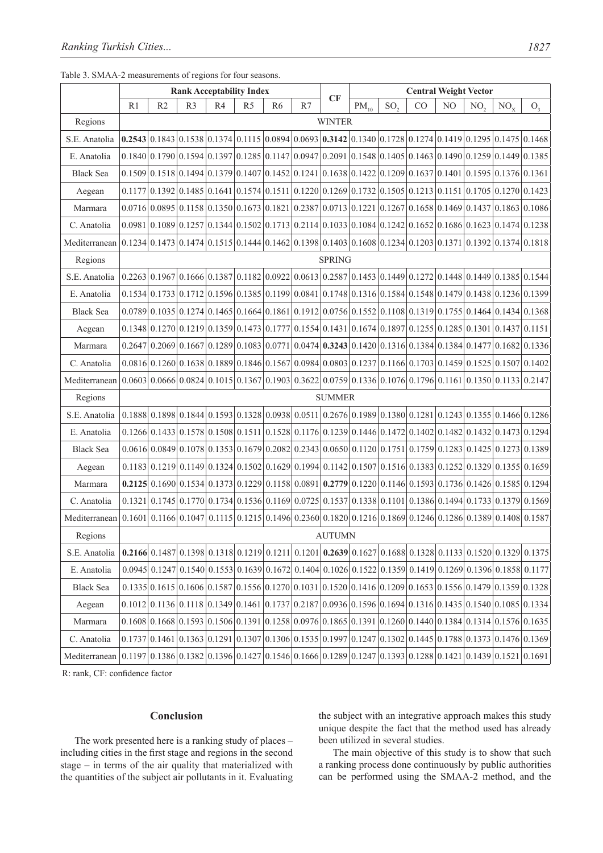## Table 3. SMAA-2 measurements of regions for four seasons.

|                  | <b>Rank Acceptability Index</b> |    |                |                                                                                                                                                                                  |                | CF             | <b>Central Weight Vector</b> |               |                               |                 |    |    |                 |          |                                                                                                                                        |
|------------------|---------------------------------|----|----------------|----------------------------------------------------------------------------------------------------------------------------------------------------------------------------------|----------------|----------------|------------------------------|---------------|-------------------------------|-----------------|----|----|-----------------|----------|----------------------------------------------------------------------------------------------------------------------------------------|
|                  | R1                              | R2 | R <sub>3</sub> | R4                                                                                                                                                                               | R <sub>5</sub> | R <sub>6</sub> | R7                           |               | $\overline{\mathrm{PM}}_{10}$ | SO <sub>2</sub> | CO | NO | NO <sub>2</sub> | $NO_{X}$ | O <sub>3</sub>                                                                                                                         |
| Regions          | <b>WINTER</b>                   |    |                |                                                                                                                                                                                  |                |                |                              |               |                               |                 |    |    |                 |          |                                                                                                                                        |
| S.E. Anatolia    |                                 |    |                | <b>0.2543</b> 0.1843 0.1538 0.1374 0.1115 0.0894 0.0693 <b>0.3142</b> 0.1340 0.1728 0.1274 0.1419 0.1295 0.1475 0.1468                                                           |                |                |                              |               |                               |                 |    |    |                 |          |                                                                                                                                        |
| E. Anatolia      |                                 |    |                | $0.1840 0.1790 0.1594 0.1397 0.1285 0.1147 0.0947 0.2091 0.1548 0.1405 0.1463 0.1490 0.1259 0.1449 0.1385$                                                                       |                |                |                              |               |                               |                 |    |    |                 |          |                                                                                                                                        |
| <b>Black Sea</b> |                                 |    |                | $0.1509 0.1518 0.1494 0.1379 0.1407 0.1452 0.1241 0.1638 0.1422 0.1209 0.1637 0.1401 0.1595 0.1376 0.1361$                                                                       |                |                |                              |               |                               |                 |    |    |                 |          |                                                                                                                                        |
| Aegean           |                                 |    |                | $0.1177 \mid 0.1392 \mid 0.1485 \mid 0.1641 \mid 0.1574 \mid 0.1511 \mid 0.1220 \mid 0.1269 \mid 0.1732 \mid 0.1505 \mid 0.1213 \mid 0.1151 \mid 0.1705 \mid 0.1270 \mid 0.1423$ |                |                |                              |               |                               |                 |    |    |                 |          |                                                                                                                                        |
| Marmara          |                                 |    |                | $0.0716 0.0895 0.1158 0.1350 0.1673 0.1821 0.2387 0.0713 0.1221 0.1267 0.1658 0.1469 0.1437 0.1863 0.1086$                                                                       |                |                |                              |               |                               |                 |    |    |                 |          |                                                                                                                                        |
| C. Anatolia      |                                 |    |                | $0.0981 0.1089 0.1257 0.1344 0.1502 0.1713 0.2114 0.1033 0.1084 0.1242 0.1652 0.1686 0.1623 0.1474 0.1238$                                                                       |                |                |                              |               |                               |                 |    |    |                 |          |                                                                                                                                        |
| Mediterranean    |                                 |    |                | $0.1234 \mid 0.1473 \mid 0.1474 \mid 0.1515 \mid 0.1444 \mid 0.1462 \mid 0.1398 \mid 0.1403 \mid 0.1608 \mid 0.1234 \mid 0.1203 \mid 0.1371 \mid 0.1392 \mid 0.1374 \mid 0.1818$ |                |                |                              |               |                               |                 |    |    |                 |          |                                                                                                                                        |
| Regions          |                                 |    |                |                                                                                                                                                                                  |                |                |                              | <b>SPRING</b> |                               |                 |    |    |                 |          |                                                                                                                                        |
| S.E. Anatolia    |                                 |    |                | $0.2263 0.1967 0.1666 0.1387 0.1182 0.0922 0.0613 0.2587 0.1453 0.1449 0.1272 0.1448 0.1449 0.1385 0.1544$                                                                       |                |                |                              |               |                               |                 |    |    |                 |          |                                                                                                                                        |
| E. Anatolia      |                                 |    |                | $0.1534 \mid 0.1733 \mid 0.1712 \mid 0.1596 \mid 0.1385 \mid 0.1199 \mid 0.0841 \mid 0.1748 \mid 0.1316 \mid 0.1584 \mid 0.1548 \mid 0.1479 \mid 0.1438 \mid 0.1236 \mid 0.1399$ |                |                |                              |               |                               |                 |    |    |                 |          |                                                                                                                                        |
| <b>Black Sea</b> |                                 |    |                | $0.0789 \mid 0.1035 \mid 0.1274 \mid 0.1465 \mid 0.1664 \mid 0.1861 \mid 0.1912 \mid 0.0756 \mid 0.1552 \mid 0.1108 \mid 0.1319 \mid 0.1755 \mid 0.1464 \mid 0.1434 \mid 0.1368$ |                |                |                              |               |                               |                 |    |    |                 |          |                                                                                                                                        |
| Aegean           |                                 |    |                | $0.1348 \mid 0.1270 \mid 0.1219 \mid 0.1359 \mid 0.1473 \mid 0.1777 \mid 0.1554 \mid 0.1431 \mid 0.1674 \mid 0.1897 \mid 0.1255 \mid 0.1255 \mid 0.1301 \mid 0.1437 \mid 0.1151$ |                |                |                              |               |                               |                 |    |    |                 |          |                                                                                                                                        |
| Marmara          |                                 |    |                | $0.02647$ $0.2069$ $0.1667$ $0.1289$ $0.1083$ $0.0771$ $0.0474$ $0.3243$ $0.1420$ $0.1316$ $0.1384$ $0.1384$ $0.1477$ $0.1682$ $0.1336$                                          |                |                |                              |               |                               |                 |    |    |                 |          |                                                                                                                                        |
| C. Anatolia      |                                 |    |                | $0.0816 \mid 0.1260 \mid 0.1638 \mid 0.1889 \mid 0.1846 \mid 0.1567 \mid 0.0984 \mid 0.0803 \mid 0.1237 \mid 0.1166 \mid 0.1703 \mid 0.1459 \mid 0.1525 \mid 0.1507 \mid 0.1402$ |                |                |                              |               |                               |                 |    |    |                 |          |                                                                                                                                        |
| Mediterranean    |                                 |    |                | $0.0603 \mid 0.0666 \mid 0.0824 \mid 0.1015 \mid 0.1367 \mid 0.1903 \mid 0.3622 \mid 0.0759 \mid 0.1336 \mid 0.1076 \mid 0.1796 \mid 0.1161 \mid 0.1350 \mid 0.1133 \mid 0.2147$ |                |                |                              |               |                               |                 |    |    |                 |          |                                                                                                                                        |
| Regions          |                                 |    |                |                                                                                                                                                                                  |                |                |                              | <b>SUMMER</b> |                               |                 |    |    |                 |          |                                                                                                                                        |
| S.E. Anatolia    |                                 |    |                | $0.1888 \mid 0.1898 \mid 0.1844 \mid 0.1593 \mid 0.1328 \mid 0.0938 \mid 0.0511 \mid 0.2676 \mid 0.1989 \mid 0.1380 \mid 0.1281 \mid 0.1243 \mid 0.1355 \mid 0.1466 \mid 0.1286$ |                |                |                              |               |                               |                 |    |    |                 |          |                                                                                                                                        |
| E. Anatolia      |                                 |    |                | $0.1266$ $0.1433$ $0.1578$ $0.1508$ $0.1511$ $0.1528$ $0.1176$ $0.1239$ $0.1446$ $0.1472$ $0.1402$ $0.1402$ $0.1432$ $0.1432$ $0.1473$ $0.1294$                                  |                |                |                              |               |                               |                 |    |    |                 |          |                                                                                                                                        |
| <b>Black Sea</b> |                                 |    |                | $0.0616$ $0.0849$ $0.1078$ $0.1353$ $0.1679$ $0.2082$ $0.2343$ $0.0650$ $0.1120$ $0.1751$ $0.1759$ $0.1283$ $0.1425$ $0.1273$ $0.1389$                                           |                |                |                              |               |                               |                 |    |    |                 |          |                                                                                                                                        |
| Aegean           |                                 |    |                | $0.1183 \mid 0.1219 \mid 0.1149 \mid 0.1324 \mid 0.1502 \mid 0.1629 \mid 0.1994 \mid 0.1142 \mid 0.1507 \mid 0.1516 \mid 0.1383 \mid 0.1252 \mid 0.1329 \mid 0.1355 \mid 0.1659$ |                |                |                              |               |                               |                 |    |    |                 |          |                                                                                                                                        |
| Marmara          |                                 |    |                | <b>0.2125</b> 0.1690 0.1534 0.1373 0.1229 0.1158 0.0891 <b>0.2779</b> 0.1220 0.1146 0.1593 0.1736 0.1426 0.1585 0.1294                                                           |                |                |                              |               |                               |                 |    |    |                 |          |                                                                                                                                        |
| C. Anatolia      |                                 |    |                | $0.1321 \mid 0.1745 \mid 0.1770 \mid 0.1734 \mid 0.1536 \mid 0.1169 \mid 0.0725 \mid 0.1537 \mid 0.1338 \mid 0.1101 \mid 0.1386 \mid 0.1494 \mid 0.1733 \mid 0.1579 \mid 0.1569$ |                |                |                              |               |                               |                 |    |    |                 |          |                                                                                                                                        |
| Mediterranean    |                                 |    |                | $0.1601$ $0.1166$ $0.1047$ $0.1115$ $0.1215$ $0.1496$ $0.2360$ $0.1820$ $0.1216$ $0.1869$ $0.1246$ $0.1286$ $0.1389$ $0.1408$ $0.1587$                                           |                |                |                              |               |                               |                 |    |    |                 |          |                                                                                                                                        |
| Regions          | <b>AUTUMN</b>                   |    |                |                                                                                                                                                                                  |                |                |                              |               |                               |                 |    |    |                 |          |                                                                                                                                        |
| S.E. Anatolia    |                                 |    |                |                                                                                                                                                                                  |                |                |                              |               |                               |                 |    |    |                 |          | <b>0.2166</b> 0.1487 0.1398 0.1318 0.1219 0.1211 0.1201 <b>0.2639</b> 0.1627 0.1688 0.1328 0.1133 0.1520 0.1329 0.1375                 |
| E. Anatolia      |                                 |    |                |                                                                                                                                                                                  |                |                |                              |               |                               |                 |    |    |                 |          | $0.0945$ $0.1247$ $0.1540$ $0.1553$ $0.1639$ $0.1672$ $0.1404$ $0.1026$ $0.1522$ $0.1359$ $0.1419$ $0.1269$ $0.1396$ $0.1858$ $0.1177$ |
| <b>Black Sea</b> |                                 |    |                |                                                                                                                                                                                  |                |                |                              |               |                               |                 |    |    |                 |          | $0.1335 0.1615 0.1606 0.1587 0.1556 0.1270 0.1031 0.1520 0.1416 0.1209 0.1653 0.1556 0.1479 0.1359 0.1328$                             |
| Aegean           |                                 |    |                |                                                                                                                                                                                  |                |                |                              |               |                               |                 |    |    |                 |          | $0.1012 0.1136 0.1118 0.1349 0.1461 0.1737 0.2187 0.0936 0.1596 0.1694 0.1316 0.1435 0.1540 0.1085 0.1334$                             |
| Marmara          |                                 |    |                | $0.1608 0.1668 0.1593 0.1506 0.1391 0.1258 0.0976 0.1865 0.1391 0.1260 0.1440 0.1384 0.1314 0.1576 0.1635$                                                                       |                |                |                              |               |                               |                 |    |    |                 |          |                                                                                                                                        |
| C. Anatolia      |                                 |    |                | $0.1737 \mid 0.1461 \mid 0.1363 \mid 0.1291 \mid 0.1307 \mid 0.1306 \mid 0.1535 \mid 0.1997 \mid 0.1247 \mid 0.1302 \mid 0.1445 \mid 0.1788 \mid 0.1373 \mid 0.1476 \mid 0.1369$ |                |                |                              |               |                               |                 |    |    |                 |          |                                                                                                                                        |
| Mediterranean    |                                 |    |                |                                                                                                                                                                                  |                |                |                              |               |                               |                 |    |    |                 |          | $0.1197 0.1386 0.1382 0.1396 0.1427 0.1546 0.1666 0.1289 0.1247 0.1393 0.1288 0.1421 0.1439 0.1521 0.1691$                             |

R: rank, CF: confidence factor

# **Conclusion**

The work presented here is a ranking study of places – including cities in the first stage and regions in the second stage – in terms of the air quality that materialized with the quantities of the subject air pollutants in it. Evaluating the subject with an integrative approach makes this study unique despite the fact that the method used has already been utilized in several studies.

The main objective of this study is to show that such a ranking process done continuously by public authorities can be performed using the SMAA-2 method, and the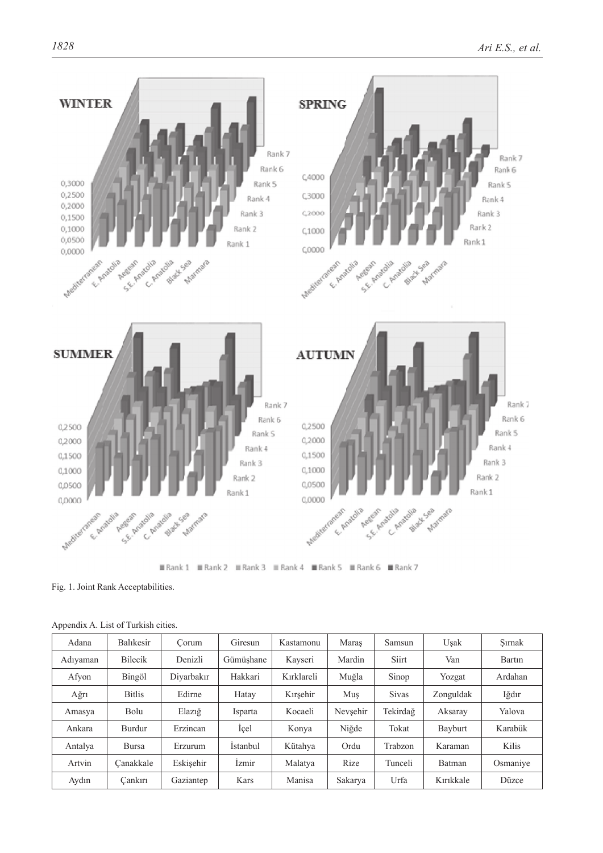

**ⅢRank1 ⅢRank2 ⅢRank3 ⅢRank4 ⅢRank5 ⅢRank6 ⅢRank7** 

Fig. 1. Joint Rank Acceptabilities.

| Adana    | Balıkesir      | Corum      | Giresun         | Kastamonu  | Maras    | Samsun       | Usak      | Sırnak   |
|----------|----------------|------------|-----------------|------------|----------|--------------|-----------|----------|
| Adıyaman | <b>Bilecik</b> | Denizli    | Gümüshane       | Kayseri    | Mardin   | Siirt        | Van       | Bartin   |
| Afyon    | Bingöl         | Divarbakır | Hakkari         | Kırklareli | Muğla    | Sinop        | Yozgat    | Ardahan  |
| Ağrı     | <b>Bitlis</b>  | Edirne     | Hatay           | Kırsehir   | Mus      | <b>Sivas</b> | Zonguldak | Iğdır    |
| Amasya   | Bolu           | Elaziğ     | Isparta         | Kocaeli    | Nevsehir | Tekirdağ     | Aksaray   | Yalova   |
| Ankara   | Burdur         | Erzincan   | <i>i</i> cel    | Konya      | Niğde    | Tokat        | Bayburt   | Karabük  |
| Antalya  | <b>Bursa</b>   | Erzurum    | <b>Istanbul</b> | Kütahya    | Ordu     | Trabzon      | Karaman   | Kilis    |
| Artvin   | Canakkale      | Eskisehir  | İzmir           | Malatya    | Rize     | Tunceli      | Batman    | Osmaniye |
| Aydın    | Cankırı        | Gaziantep  | Kars            | Manisa     | Sakarya  | Urfa         | Kırıkkale | Düzce    |

Appendix A. List of Turkish cities.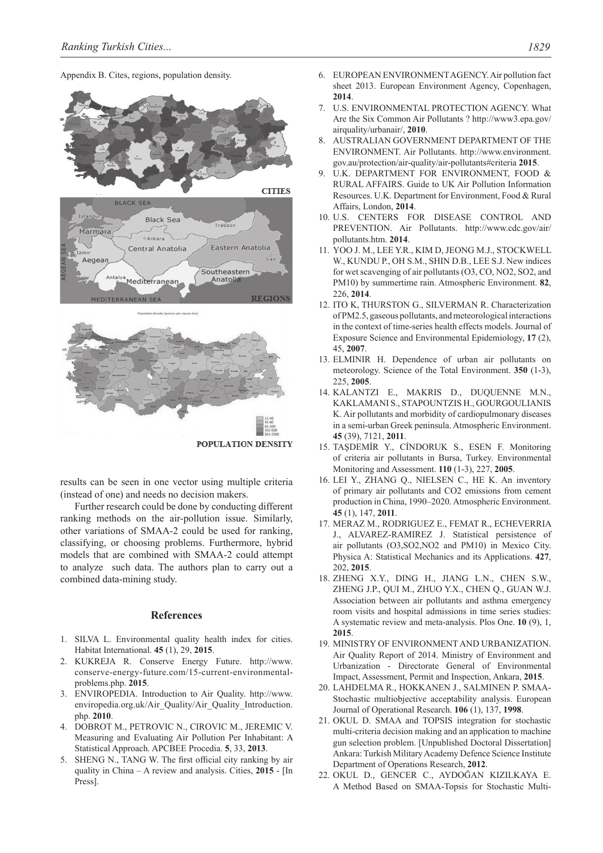Appendix B. Cites, regions, population density.

![](_page_6_Figure_2.jpeg)

results can be seen in one vector using multiple criteria (instead of one) and needs no decision makers.

Further research could be done by conducting different ranking methods on the air-pollution issue. Similarly, other variations of SMAA-2 could be used for ranking, classifying, or choosing problems. Furthermore, hybrid models that are combined with SMAA-2 could attempt to analyze such data. The authors plan to carry out a combined data-mining study.

## **References**

- 1. SILVA L. Environmental quality health index for cities. Habitat International. **45** (1), 29, **2015**.
- 2. KUKREJA R. Conserve Energy Future. http://www. conserve-energy-future.com/15-current-environmentalproblems.php. **2015**.
- 3. ENVIROPEDIA. Introduction to Air Quality. http://www. enviropedia.org.uk/Air\_Quality/Air\_Quality\_Introduction. php. **2010**.
- 4. DOBROT M., PETROVIC N., CIROVIC M., JEREMIC V. Measuring and Evaluating Air Pollution Per Inhabitant: A Statistical Approach. APCBEE Procedia. **5**, 33, **2013**.
- 5. SHENG N., TANG W. The first official city ranking by air quality in China – A review and analysis. Cities, **2015** - [In Press].
- 6. EUROPEAN ENVIRONMENT AGENCY. Air pollution fact sheet 2013. European Environment Agency, Copenhagen, **2014**.
- 7. U.S. ENVIRONMENTAL PROTECTION AGENCY. What Are the Six Common Air Pollutants ? http://www3.epa.gov/ airquality/urbanair/, **2010**.
- 8. AUSTRALIAN GOVERNMENT DEPARTMENT OF THE ENVIRONMENT. Air Pollutants. http://www.environment. gov.au/protection/air-quality/air-pollutants#criteria **2015**.
- 9. U.K. DEPARTMENT FOR ENVIRONMENT, FOOD & RURAL AFFAIRS. Guide to UK Air Pollution Information Resources. U.K. Department for Environment, Food & Rural Affairs, London, **2014**.
- 10. U.S. CENTERS FOR DISEASE CONTROL AND PREVENTION. Air Pollutants. http://www.cdc.gov/air/ pollutants.htm. **2014**.
- 11. YOO J. M., LEE Y.R., KIM D, JEONG M.J., STOCKWELL W., KUNDU P., OH S.M., SHIN D.B., LEE S.J. New indices for wet scavenging of air pollutants (O3, CO, NO2, SO2, and PM10) by summertime rain. Atmospheric Environment. **82**, 226, **2014**.
- 12. ITO K, THURSTON G., SILVERMAN R. Characterization of PM2.5, gaseous pollutants, and meteorological interactions in the context of time-series health effects models. Journal of Exposure Science and Environmental Epidemiology, **17** (2), 45, **2007**.
- 13. ELMINIR H. Dependence of urban air pollutants on meteorology. Science of the Total Environment. **350** (1-3), 225, **2005**.
- 14. KALANTZI E., MAKRIS D., DUQUENNE M.N., KAKLAMANI S., STAPOUNTZIS H., GOURGOULIANIS K. Air pollutants and morbidity of cardiopulmonary diseases in a semi-urban Greek peninsula. Atmospheric Environment. **45** (39), 7121, **2011**.
- 15. TAŞDEMİR Y., CİNDORUK S., ESEN F. Monitoring of criteria air pollutants in Bursa, Turkey. Environmental Monitoring and Assessment. **110** (1-3), 227, **2005**.
- 16. LEI Y., ZHANG Q., NIELSEN C., HE K. An inventory of primary air pollutants and CO2 emissions from cement production in China, 1990–2020. Atmospheric Environment. **45** (1), 147, **2011**.
- 17. MERAZ M., RODRIGUEZ E., FEMAT R., ECHEVERRIA J., ALVAREZ-RAMIREZ J. Statistical persistence of air pollutants (O3,SO2,NO2 and PM10) in Mexico City. Physica A: Statistical Mechanics and its Applications. **427**, 202, **2015**.
- 18. ZHENG X.Y., DING H., JIANG L.N., CHEN S.W., ZHENG J.P., QUI M., ZHUO Y.X., CHEN Q., GUAN W.J. Association between air pollutants and asthma emergency room visits and hospital admissions in time series studies: A systematic review and meta-analysis. Plos One. **10** (9), 1, **2015**.
- 19. MINISTRY OF ENVIRONMENT AND URBANIZATION. Air Quality Report of 2014. Ministry of Environment and Urbanization - Directorate General of Environmental Impact, Assessment, Permit and Inspection, Ankara, **2015**.
- 20. LAHDELMA R., HOKKANEN J., SALMINEN P. SMAA-Stochastic multiobjective acceptability analysis. European Journal of Operational Research. **106** (1), 137, **1998**.
- 21. OKUL D. SMAA and TOPSIS integration for stochastic multi-criteria decision making and an application to machine gun selection problem. [Unpublished Doctoral Dissertation] Ankara: Turkish Military Academy Defence Science Institute Department of Operations Research, **2012**.
- 22. OKUL D., GENCER C., AYDOĞAN KIZILKAYA E. A Method Based on SMAA-Topsis for Stochastic Multi-